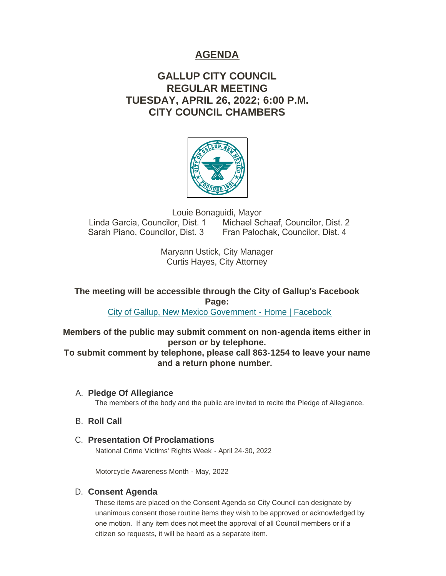# **AGENDA**

# **GALLUP CITY COUNCIL REGULAR MEETING TUESDAY, APRIL 26, 2022; 6:00 P.M. CITY COUNCIL CHAMBERS**



Louie Bonaguidi, Mayor<br>Linda Garcia, Councilor, Dist. 1 Michael Sc Michael Schaaf, Councilor, Dist. 2 Sarah Piano, Councilor, Dist. 3 Fran Palochak, Councilor, Dist. 4

> Maryann Ustick, City Manager Curtis Hayes, City Attorney

**The meeting will be accessible through the City of Gallup's Facebook Page:**

[City of Gallup, New Mexico Government - Home | Facebook](https://www.facebook.com/CityOfGallup)

**Members of the public may submit comment on non-agenda items either in person or by telephone.**

**To submit comment by telephone, please call 863-1254 to leave your name and a return phone number.** 

**Pledge Of Allegiance** A.

The members of the body and the public are invited to recite the Pledge of Allegiance.

- **B.** Roll Call
- **Presentation Of Proclamations** C. National Crime Victims' Rights Week - April 24-30, 2022

Motorcycle Awareness Month - May, 2022

# **Consent Agenda** D.

These items are placed on the Consent Agenda so City Council can designate by unanimous consent those routine items they wish to be approved or acknowledged by one motion. If any item does not meet the approval of all Council members or if a citizen so requests, it will be heard as a separate item.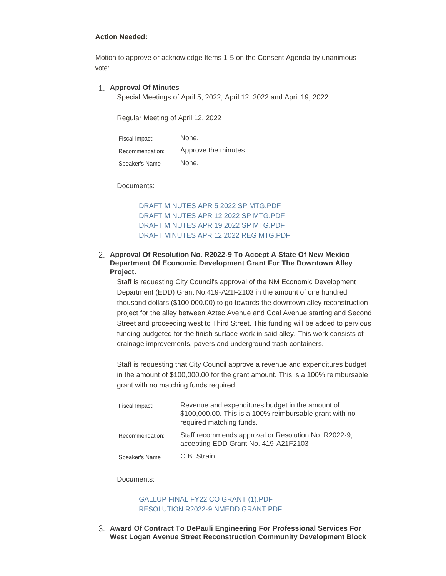#### **Action Needed:**

Motion to approve or acknowledge Items 1-5 on the Consent Agenda by unanimous vote:

#### **Approval Of Minutes** 1.

Special Meetings of April 5, 2022, April 12, 2022 and April 19, 2022

Regular Meeting of April 12, 2022

| Fiscal Impact:  | None.                |
|-----------------|----------------------|
| Recommendation: | Approve the minutes. |
| Speaker's Name  | None.                |

Documents:

[DRAFT MINUTES APR 5 2022 SP MTG.PDF](https://www.gallupnm.gov/AgendaCenter/ViewFile/Item/2949?fileID=12563) [DRAFT MINUTES APR 12 2022 SP MTG.PDF](https://www.gallupnm.gov/AgendaCenter/ViewFile/Item/2949?fileID=12564) [DRAFT MINUTES APR 19 2022 SP MTG.PDF](https://www.gallupnm.gov/AgendaCenter/ViewFile/Item/2949?fileID=12565) [DRAFT MINUTES APR 12 2022 REG MTG.PDF](https://www.gallupnm.gov/AgendaCenter/ViewFile/Item/2949?fileID=12566)

#### **Approval Of Resolution No. R2022-9 To Accept A State Of New Mexico**  2. **Department Of Economic Development Grant For The Downtown Alley Project.**

Staff is requesting City Council's approval of the NM Economic Development Department (EDD) Grant No.419-A21F2103 in the amount of one hundred thousand dollars (\$100,000.00) to go towards the downtown alley reconstruction project for the alley between Aztec Avenue and Coal Avenue starting and Second Street and proceeding west to Third Street. This funding will be added to pervious funding budgeted for the finish surface work in said alley. This work consists of drainage improvements, pavers and underground trash containers.

Staff is requesting that City Council approve a revenue and expenditures budget in the amount of \$100,000.00 for the grant amount. This is a 100% reimbursable grant with no matching funds required.

| Fiscal Impact:  | Revenue and expenditures budget in the amount of<br>\$100,000.00. This is a 100% reimbursable grant with no<br>required matching funds. |
|-----------------|-----------------------------------------------------------------------------------------------------------------------------------------|
| Recommendation: | Staff recommends approval or Resolution No. R2022-9,<br>accepting EDD Grant No. 419-A21F2103                                            |
| Speaker's Name  | C.B. Strain                                                                                                                             |

Documents:

## [GALLUP FINAL FY22 CO GRANT \(1\).PDF](https://www.gallupnm.gov/AgendaCenter/ViewFile/Item/2940?fileID=12549) [RESOLUTION R2022-9 NMEDD GRANT.PDF](https://www.gallupnm.gov/AgendaCenter/ViewFile/Item/2940?fileID=12550)

**Award Of Contract To DePauli Engineering For Professional Services For**  3. **West Logan Avenue Street Reconstruction Community Development Block**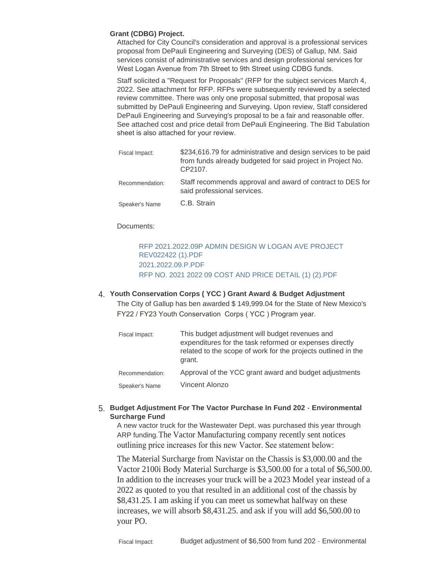#### **Grant (CDBG) Project.**

Attached for City Council's consideration and approval is a professional services proposal from DePauli Engineering and Surveying (DES) of Gallup, NM. Said services consist of administrative services and design professional services for West Logan Avenue from 7th Street to 9th Street using CDBG funds.

Staff solicited a "Request for Proposals" (RFP for the subject services March 4, 2022. See attachment for RFP. RFPs were subsequently reviewed by a selected review committee. There was only one proposal submitted, that proposal was submitted by DePauli Engineering and Surveying. Upon review, Staff considered DePauli Engineering and Surveying's proposal to be a fair and reasonable offer. See attached cost and price detail from DePauli Engineering. The Bid Tabulation sheet is also attached for your review.

| Fiscal Impact:  | \$234,616.79 for administrative and design services to be paid<br>from funds already budgeted for said project in Project No.<br>CP2107. |
|-----------------|------------------------------------------------------------------------------------------------------------------------------------------|
| Recommendation: | Staff recommends approval and award of contract to DES for<br>said professional services.                                                |
| Speaker's Name  | C.B. Strain                                                                                                                              |

#### Documents:

## [RFP 2021.2022.09P ADMIN DESIGN W LOGAN AVE PROJECT](https://www.gallupnm.gov/AgendaCenter/ViewFile/Item/2946?fileID=12556)  REV022422 (1).PDF [2021.2022.09.P.PDF](https://www.gallupnm.gov/AgendaCenter/ViewFile/Item/2946?fileID=12557) [RFP NO. 2021 2022 09 COST AND PRICE DETAIL \(1\) \(2\).PDF](https://www.gallupnm.gov/AgendaCenter/ViewFile/Item/2946?fileID=12558)

# **Youth Conservation Corps ( YCC ) Grant Award & Budget Adjustment** 4.

The City of Gallup has ben awarded \$ 149,999.04 for the State of New Mexico's FY22 / FY23 Youth Conservation Corps ( YCC ) Program year.

| Fiscal Impact:  | This budget adjustment will budget revenues and<br>expenditures for the task reformed or expenses directly<br>related to the scope of work for the projects outlined in the<br>grant. |
|-----------------|---------------------------------------------------------------------------------------------------------------------------------------------------------------------------------------|
| Recommendation: | Approval of the YCC grant award and budget adjustments                                                                                                                                |
| Speaker's Name  | Vincent Alonzo                                                                                                                                                                        |

### **Budget Adjustment For The Vactor Purchase In Fund 202 - Environmental**  5. **Surcharge Fund**

A new vactor truck for the Wastewater Dept. was purchased this year through ARP funding.The Vactor Manufacturing company recently sent notices outlining price increases for this new Vactor. See statement below:

The Material Surcharge from Navistar on the Chassis is \$3,000.00 and the Vactor 2100i Body Material Surcharge is \$3,500.00 for a total of \$6,500.00. In addition to the increases your truck will be a 2023 Model year instead of a 2022 as quoted to you that resulted in an additional cost of the chassis by \$8,431.25. I am asking if you can meet us somewhat halfway on these increases, we will absorb \$8,431.25. and ask if you will add \$6,500.00 to your PO.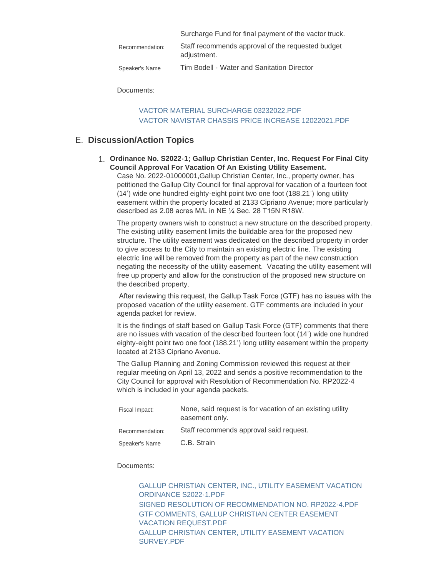|                 | Surcharge Fund for final payment of the vactor truck.            |
|-----------------|------------------------------------------------------------------|
| Recommendation: | Staff recommends approval of the requested budget<br>adjustment. |
| Speaker's Name  | Tim Bodell - Water and Sanitation Director                       |

Documents:

### [VACTOR MATERIAL SURCHARGE 03232022.PDF](https://www.gallupnm.gov/AgendaCenter/ViewFile/Item/2943?fileID=12551) [VACTOR NAVISTAR CHASSIS PRICE INCREASE 12022021.PDF](https://www.gallupnm.gov/AgendaCenter/ViewFile/Item/2943?fileID=12552)

# **Discussion/Action Topics** E.

**Ordinance No. S2022-1; Gallup Christian Center, Inc. Request For Final City**  1. **Council Approval For Vacation Of An Existing Utility Easement.**

Case No. 2022-01000001,Gallup Christian Center, Inc., property owner, has petitioned the Gallup City Council for final approval for vacation of a fourteen foot (14') wide one hundred eighty-eight point two one foot (188.21') long utility easement within the property located at 2133 Cipriano Avenue; more particularly described as 2.08 acres M/L in NE ¼ Sec. 28 T15N R18W.

The property owners wish to construct a new structure on the described property. The existing utility easement limits the buildable area for the proposed new structure. The utility easement was dedicated on the described property in order to give access to the City to maintain an existing electric line. The existing electric line will be removed from the property as part of the new construction negating the necessity of the utility easement. Vacating the utility easement will free up property and allow for the construction of the proposed new structure on the described property.

 After reviewing this request, the Gallup Task Force (GTF) has no issues with the proposed vacation of the utility easement. GTF comments are included in your agenda packet for review.

It is the findings of staff based on Gallup Task Force (GTF) comments that there are no issues with vacation of the described fourteen foot (14') wide one hundred eighty-eight point two one foot (188.21') long utility easement within the property located at 2133 Cipriano Avenue.

The Gallup Planning and Zoning Commission reviewed this request at their regular meeting on April 13, 2022 and sends a positive recommendation to the City Council for approval with Resolution of Recommendation No. RP2022-4 which is included in your agenda packets.

| Fiscal Impact:  | None, said request is for vacation of an existing utility<br>easement only. |
|-----------------|-----------------------------------------------------------------------------|
| Recommendation: | Staff recommends approval said request.                                     |
| Speaker's Name  | C.B. Strain                                                                 |

#### Documents:

[GALLUP CHRISTIAN CENTER, INC., UTILITY EASEMENT VACATION](https://www.gallupnm.gov/AgendaCenter/ViewFile/Item/2939?fileID=12545)  ORDINANCE S2022-1.PDF [SIGNED RESOLUTION OF RECOMMENDATION NO. RP2022-4.PDF](https://www.gallupnm.gov/AgendaCenter/ViewFile/Item/2939?fileID=12546) [GTF COMMENTS, GALLUP CHRISTIAN CENTER EASEMENT](https://www.gallupnm.gov/AgendaCenter/ViewFile/Item/2939?fileID=12547)  VACATION REQUEST PDF [GALLUP CHRISTIAN CENTER, UTILITY EASEMENT VACATION](https://www.gallupnm.gov/AgendaCenter/ViewFile/Item/2939?fileID=12548)  SURVEY.PDF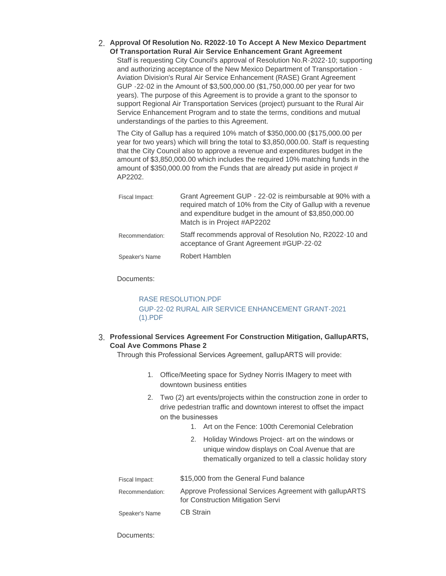**Approval Of Resolution No. R2022-10 To Accept A New Mexico Department**  2. **Of Transportation Rural Air Service Enhancement Grant Agreement**

Staff is requesting City Council's approval of Resolution No.R-2022-10; supporting and authorizing acceptance of the New Mexico Department of Transportation - Aviation Division's Rural Air Service Enhancement (RASE) Grant Agreement GUP -22-02 in the Amount of \$3,500,000.00 (\$1,750,000.00 per year for two years). The purpose of this Agreement is to provide a grant to the sponsor to support Regional Air Transportation Services (project) pursuant to the Rural Air Service Enhancement Program and to state the terms, conditions and mutual understandings of the parties to this Agreement.

The City of Gallup has a required 10% match of \$350,000.00 (\$175,000.00 per year for two years) which will bring the total to \$3,850,000.00. Staff is requesting that the City Council also to approve a revenue and expenditures budget in the amount of \$3,850,000.00 which includes the required 10% matching funds in the amount of \$350,000.00 from the Funds that are already put aside in project # AP2202.

| Fiscal Impact:  | Grant Agreement GUP - 22-02 is reimbursable at 90% with a<br>required match of 10% from the City of Gallup with a revenue<br>and expenditure budget in the amount of \$3,850,000.00<br>Match is in Project #AP2202 |
|-----------------|--------------------------------------------------------------------------------------------------------------------------------------------------------------------------------------------------------------------|
| Recommendation: | Staff recommends approval of Resolution No, R2022-10 and<br>acceptance of Grant Agreement #GUP-22-02                                                                                                               |
| Speaker's Name  | Robert Hamblen                                                                                                                                                                                                     |

#### Documents:

### [RASE RESOLUTION.PDF](https://www.gallupnm.gov/AgendaCenter/ViewFile/Item/2944?fileID=12570) [GUP-22-02 RURAL AIR SERVICE ENHANCEMENT GRANT-2021](https://www.gallupnm.gov/AgendaCenter/ViewFile/Item/2944?fileID=12554)  (1).PDF

### **Professional Services Agreement For Construction Mitigation, GallupARTS,**  3. **Coal Ave Commons Phase 2**

Through this Professional Services Agreement, gallupARTS will provide:

- 1. Office/Meeting space for Sydney Norris IMagery to meet with downtown business entities
- 2. Two (2) art events/projects within the construction zone in order to drive pedestrian traffic and downtown interest to offset the impact on the businesses
	- 1. Art on the Fence: 100th Ceremonial Celebration
	- 2. Holiday Windows Project- art on the windows or unique window displays on Coal Avenue that are thematically organized to tell a classic holiday story

| Fiscal Impact:  | \$15,000 from the General Fund balance                                                       |
|-----------------|----------------------------------------------------------------------------------------------|
| Recommendation: | Approve Professional Services Agreement with gallupARTS<br>for Construction Mitigation Servi |
| Speaker's Name  | <b>CB Strain</b>                                                                             |

Documents: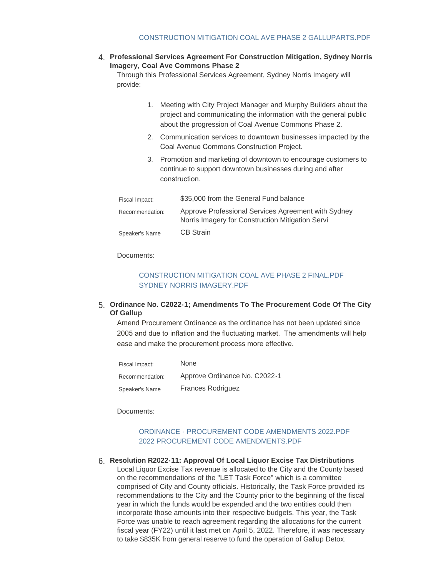**Professional Services Agreement For Construction Mitigation, Sydney Norris**  4. **Imagery, Coal Ave Commons Phase 2**

Through this Professional Services Agreement, Sydney Norris Imagery will provide:

- 1. Meeting with City Project Manager and Murphy Builders about the project and communicating the information with the general public about the progression of Coal Avenue Commons Phase 2.
- 2. Communication services to downtown businesses impacted by the Coal Avenue Commons Construction Project.
- 3. Promotion and marketing of downtown to encourage customers to continue to support downtown businesses during and after construction.

| Fiscal Impact:  | \$35,000 from the General Fund balance                                                                  |
|-----------------|---------------------------------------------------------------------------------------------------------|
| Recommendation: | Approve Professional Services Agreement with Sydney<br>Norris Imagery for Construction Mitigation Servi |
| Speaker's Name  | <b>CB Strain</b>                                                                                        |

Documents:

# [CONSTRUCTION MITIGATION COAL AVE PHASE 2 FINAL.PDF](https://www.gallupnm.gov/AgendaCenter/ViewFile/Item/2937?fileID=12568) [SYDNEY NORRIS IMAGERY.PDF](https://www.gallupnm.gov/AgendaCenter/ViewFile/Item/2937?fileID=12569)

### **Ordinance No. C2022-1; Amendments To The Procurement Code Of The City**  5. **Of Gallup**

Amend Procurement Ordinance as the ordinance has not been updated since 2005 and due to inflation and the fluctuating market. The amendments will help ease and make the procurement process more effective.

| Fiscal Impact:  | <b>None</b>                   |
|-----------------|-------------------------------|
| Recommendation: | Approve Ordinance No. C2022-1 |
| Speaker's Name  | <b>Frances Rodriguez</b>      |

Documents:

# [ORDINANCE - PROCUREMENT CODE AMENDMENTS 2022.PDF](https://www.gallupnm.gov/AgendaCenter/ViewFile/Item/2945?fileID=12561) [2022 PROCUREMENT CODE AMENDMENTS.PDF](https://www.gallupnm.gov/AgendaCenter/ViewFile/Item/2945?fileID=12562)

**Resolution R2022-11: Approval Of Local Liquor Excise Tax Distributions** 6. Local Liquor Excise Tax revenue is allocated to the City and the County based on the recommendations of the "LET Task Force" which is a committee comprised of City and County officials. Historically, the Task Force provided its recommendations to the City and the County prior to the beginning of the fiscal year in which the funds would be expended and the two entities could then incorporate those amounts into their respective budgets. This year, the Task Force was unable to reach agreement regarding the allocations for the current fiscal year (FY22) until it last met on April 5, 2022. Therefore, it was necessary to take \$835K from general reserve to fund the operation of Gallup Detox.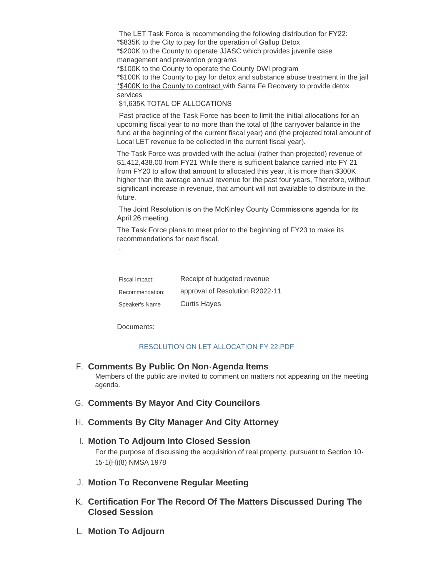The LET Task Force is recommending the following distribution for FY22: \*\$835K to the City to pay for the operation of Gallup Detox \*\$200K to the County to operate JJASC which provides juvenile case management and prevention programs \*\$100K to the County to operate the County DWI program \*\$100K to the County to pay for detox and substance abuse treatment in the jail \*\$400K to the County to contract with Santa Fe Recovery to provide detox services \$1,635K TOTAL OF ALLOCATIONS

 Past practice of the Task Force has been to limit the initial allocations for an upcoming fiscal year to no more than the total of (the carryover balance in the fund at the beginning of the current fiscal year) and (the projected total amount of Local LET revenue to be collected in the current fiscal year).

The Task Force was provided with the actual (rather than projected) revenue of \$1,412,438.00 from FY21 While there is sufficient balance carried into FY 21 from FY20 to allow that amount to allocated this year, it is more than \$300K higher than the average annual revenue for the past four years, Therefore, without significant increase in revenue, that amount will not available to distribute in the future.

 The Joint Resolution is on the McKinley County Commissions agenda for its April 26 meeting.

The Task Force plans to meet prior to the beginning of FY23 to make its recommendations for next fiscal.

| Fiscal Impact:  | Receipt of budgeted revenue     |
|-----------------|---------------------------------|
| Recommendation: | approval of Resolution R2022-11 |
| Speaker's Name  | <b>Curtis Hayes</b>             |

Documents:

.

## [RESOLUTION ON LET ALLOCATION FY 22.PDF](https://www.gallupnm.gov/AgendaCenter/ViewFile/Item/2948?fileID=12560)

# **Comments By Public On Non-Agenda Items** F.

Members of the public are invited to comment on matters not appearing on the meeting agenda.

- G. Comments By Mayor And City Councilors
- **Comments By City Manager And City Attorney** H.

# **Motion To Adjourn Into Closed Session** I. For the purpose of discussing the acquisition of real property, pursuant to Section 10- 15-1(H)(8) NMSA 1978

- **Motion To Reconvene Regular Meeting** J.
- **Certification For The Record Of The Matters Discussed During The**  K. **Closed Session**
- **Motion To Adjourn** L.